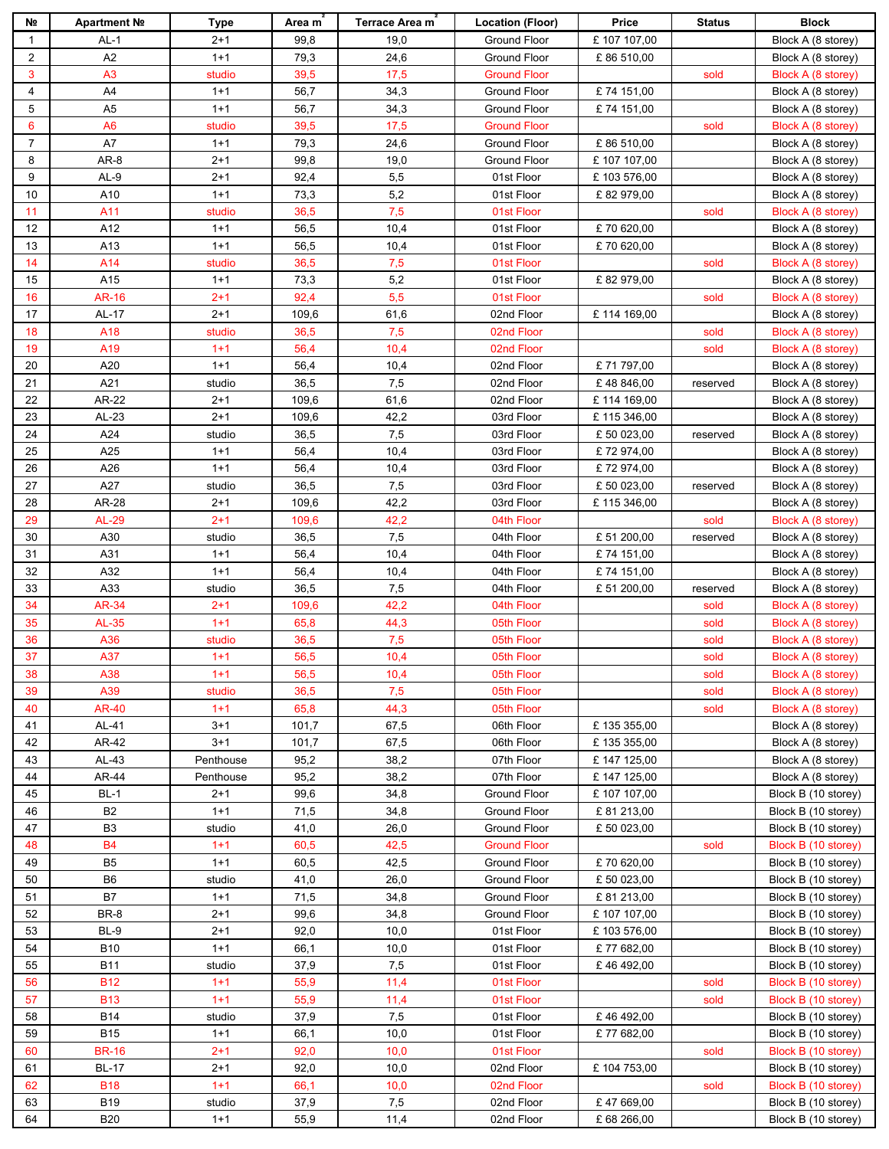| Nº             | Apartment №     | Type      | Area m | Terrace Area m | <b>Location (Floor)</b> | Price        | <b>Status</b> | <b>Block</b>        |
|----------------|-----------------|-----------|--------|----------------|-------------------------|--------------|---------------|---------------------|
| $\mathbf{1}$   | AL-1            | $2+1$     | 99,8   | 19,0           | Ground Floor            | £ 107 107,00 |               | Block A (8 storey)  |
| $\overline{2}$ | A2              | $1 + 1$   | 79,3   | 24,6           | Ground Floor            | £86 510,00   |               | Block A (8 storey)  |
| 3              | A <sub>3</sub>  | studio    | 39,5   | 17,5           | <b>Ground Floor</b>     |              | sold          | Block A (8 storey)  |
| 4              | A4              | $1+1$     | 56,7   | 34,3           | <b>Ground Floor</b>     | £74 151,00   |               | Block A (8 storey)  |
| 5              | A <sub>5</sub>  | $1 + 1$   | 56,7   | 34,3           | Ground Floor            | £74 151,00   |               | Block A (8 storey)  |
| 6              | A <sub>6</sub>  | studio    | 39,5   | 17,5           | <b>Ground Floor</b>     |              | sold          | Block A (8 storey)  |
| $\overline{7}$ | A7              | $1 + 1$   | 79,3   | 24,6           | <b>Ground Floor</b>     | £86 510,00   |               | Block A (8 storey)  |
| 8              | AR-8            | $2 + 1$   | 99,8   | 19,0           | Ground Floor            | £ 107 107,00 |               | Block A (8 storey)  |
| 9              | AL-9            | 2+1       | 92,4   | 5,5            | 01st Floor              | £103 576,00  |               | Block A (8 storey)  |
| 10             |                 | $1 + 1$   | 73,3   | 5,2            |                         |              |               |                     |
|                | A10             |           |        | 7,5            | 01st Floor              | £82979,00    |               | Block A (8 storey)  |
| 11             | A11             | studio    | 36,5   |                | 01st Floor              |              | sold          | Block A (8 storey)  |
| 12             | A12             | $1 + 1$   | 56,5   | 10,4           | 01st Floor              | £70620,00    |               | Block A (8 storey)  |
| 13             | A13             | $1 + 1$   | 56,5   | 10,4           | 01st Floor              | £70 620,00   |               | Block A (8 storey)  |
| 14             | A14             | studio    | 36,5   | 7,5            | 01st Floor              |              | sold          | Block A (8 storey)  |
| 15             | A15             | $1 + 1$   | 73,3   | 5,2            | 01st Floor              | £82979,00    |               | Block A (8 storey)  |
| 16             | <b>AR-16</b>    | $2 + 1$   | 92,4   | 5,5            | 01st Floor              |              | sold          | Block A (8 storey)  |
| 17             | AL-17           | $2+1$     | 109,6  | 61,6           | 02nd Floor              | £114 169,00  |               | Block A (8 storey)  |
| 18             | A18             | studio    | 36,5   | 7,5            | 02nd Floor              |              | sold          | Block A (8 storey)  |
| 19             | A <sub>19</sub> | $1+1$     | 56,4   | 10,4           | 02nd Floor              |              | sold          | Block A (8 storey)  |
| 20             | A20             | $1+1$     | 56,4   | 10,4           | 02nd Floor              | £71797,00    |               | Block A (8 storey)  |
| 21             | A21             | studio    | 36,5   | $\bf 7{,}5$    | 02nd Floor              | £48846,00    | reserved      | Block A (8 storey)  |
| 22             | AR-22           | $2 + 1$   | 109,6  | 61,6           | 02nd Floor              | £114 169,00  |               | Block A (8 storey)  |
| 23             | $AL-23$         | $2 + 1$   | 109,6  | 42,2           | 03rd Floor              | £115 346,00  |               | Block A (8 storey)  |
| 24             | A24             | studio    | 36,5   | $\bf 7{,}5$    | 03rd Floor              | £ 50 023,00  | reserved      | Block A (8 storey)  |
| 25             | A25             | $1+1$     | 56,4   | 10,4           | 03rd Floor              | £72974,00    |               | Block A (8 storey)  |
| 26             | A26             | $1 + 1$   | 56,4   | 10,4           | 03rd Floor              | £72974,00    |               | Block A (8 storey)  |
| 27             | A27             | studio    | 36,5   | 7,5            | 03rd Floor              | £ 50 023,00  | reserved      | Block A (8 storey)  |
| 28             | AR-28           | $2+1$     | 109,6  | 42,2           | 03rd Floor              | £115 346,00  |               | Block A (8 storey)  |
| 29             | <b>AL-29</b>    | $2 + 1$   | 109,6  | 42,2           | 04th Floor              |              | sold          | Block A (8 storey)  |
| 30             | A30             | studio    | 36,5   | $\bf 7{,}5$    | 04th Floor              | £ 51 200,00  | reserved      | Block A (8 storey)  |
| 31             | A31             | $1 + 1$   | 56,4   | 10,4           | 04th Floor              | £74 151,00   |               | Block A (8 storey)  |
| 32             | A32             | $1 + 1$   | 56,4   | 10,4           | 04th Floor              | £74 151,00   |               | Block A (8 storey)  |
| 33             | A33             | studio    | 36,5   | 7,5            | 04th Floor              | £ 51 200,00  | reserved      | Block A (8 storey)  |
| 34             | AR-34           | $2+1$     | 109,6  | 42,2           | 04th Floor              |              | sold          | Block A (8 storey)  |
| 35             | AL-35           | $1 + 1$   | 65,8   | 44,3           | 05th Floor              |              | sold          | Block A (8 storey)  |
| 36             | A36             | studio    | 36,5   | 7,5            | 05th Floor              |              | sold          | Block A (8 storey)  |
| 37             | A37             | $1+1$     | 56,5   | 10,4           | 05th Floor              |              | sold          | Block A (8 storey)  |
| 38             | A38             | $1 + 1$   | 56,5   | 10,4           | 05th Floor              |              | sold          | Block A (8 storey)  |
| 39             | A39             | studio    | 36,5   | 7,5            | 05th Floor              |              | sold          | Block A (8 storey)  |
| 40             | <b>AR-40</b>    | $1 + 1$   | 65,8   | 44,3           | 05th Floor              |              | sold          | Block A (8 storey)  |
| 41             | AL-41           | $3 + 1$   | 101,7  | 67,5           | 06th Floor              | £135 355,00  |               | Block A (8 storey)  |
| 42             | AR-42           | $3 + 1$   |        | 67,5           |                         |              |               | Block A (8 storey)  |
|                |                 |           | 101,7  |                | 06th Floor              | £135 355,00  |               |                     |
| 43             | AL-43           | Penthouse | 95,2   | 38,2           | 07th Floor              | £147 125,00  |               | Block A (8 storey)  |
| 44             | AR-44           | Penthouse | 95,2   | 38,2           | 07th Floor              | £147 125,00  |               | Block A (8 storey)  |
| 45             | BL-1            | $2+1$     | 99,6   | 34,8           | Ground Floor            | £107 107,00  |               | Block B (10 storey) |
| 46             | <b>B2</b>       | $1 + 1$   | 71,5   | 34,8           | Ground Floor            | £ 81 213,00  |               | Block B (10 storey) |
| 47             | B <sub>3</sub>  | studio    | 41,0   | 26,0           | Ground Floor            | £ 50 023,00  |               | Block B (10 storey) |
| 48             | <b>B4</b>       | $1+1$     | 60,5   | 42,5           | <b>Ground Floor</b>     |              | sold          | Block B (10 storey) |
| 49             | B <sub>5</sub>  | $1 + 1$   | 60,5   | 42,5           | Ground Floor            | £70620,00    |               | Block B (10 storey) |
| 50             | B <sub>6</sub>  | studio    | 41,0   | 26,0           | Ground Floor            | £ 50 023,00  |               | Block B (10 storey) |
| 51             | B7              | $1 + 1$   | 71,5   | 34,8           | Ground Floor            | £81 213,00   |               | Block B (10 storey) |
| 52             | BR-8            | $2+1$     | 99,6   | 34,8           | Ground Floor            | £ 107 107,00 |               | Block B (10 storey) |
| 53             | BL-9            | $2 + 1$   | 92,0   | 10,0           | 01st Floor              | £103576,00   |               | Block B (10 storey) |
| 54             | <b>B10</b>      | $1 + 1$   | 66,1   | 10,0           | 01st Floor              | £77 682,00   |               | Block B (10 storey) |
| 55             | <b>B11</b>      | studio    | 37,9   | 7,5            | 01st Floor              | £46492,00    |               | Block B (10 storey) |
| 56             | <b>B12</b>      | $1+1$     | 55,9   | 11,4           | 01st Floor              |              | sold          | Block B (10 storey) |
| 57             | <b>B13</b>      | $1 + 1$   | 55,9   | 11,4           | 01st Floor              |              | sold          | Block B (10 storey) |
| 58             | B14             | studio    | 37,9   | 7,5            | 01st Floor              | £46492,00    |               | Block B (10 storey) |
| 59             | <b>B15</b>      | $1 + 1$   | 66,1   | 10,0           | 01st Floor              | £77 682,00   |               | Block B (10 storey) |
| 60             | <b>BR-16</b>    | $2+1$     | 92,0   | 10,0           | 01st Floor              |              | sold          | Block B (10 storey) |
| 61             | <b>BL-17</b>    | $2 + 1$   | 92,0   | 10,0           | 02nd Floor              | £104 753,00  |               | Block B (10 storey) |
| 62             | <b>B18</b>      | $1 + 1$   | 66,1   | 10,0           | 02nd Floor              |              | sold          | Block B (10 storey) |
| 63             | <b>B19</b>      | studio    | 37,9   | 7,5            | 02nd Floor              | £47669,00    |               | Block B (10 storey) |
| 64             | <b>B20</b>      | $1 + 1$   | 55,9   | 11,4           | 02nd Floor              | £ 68 266,00  |               | Block B (10 storey) |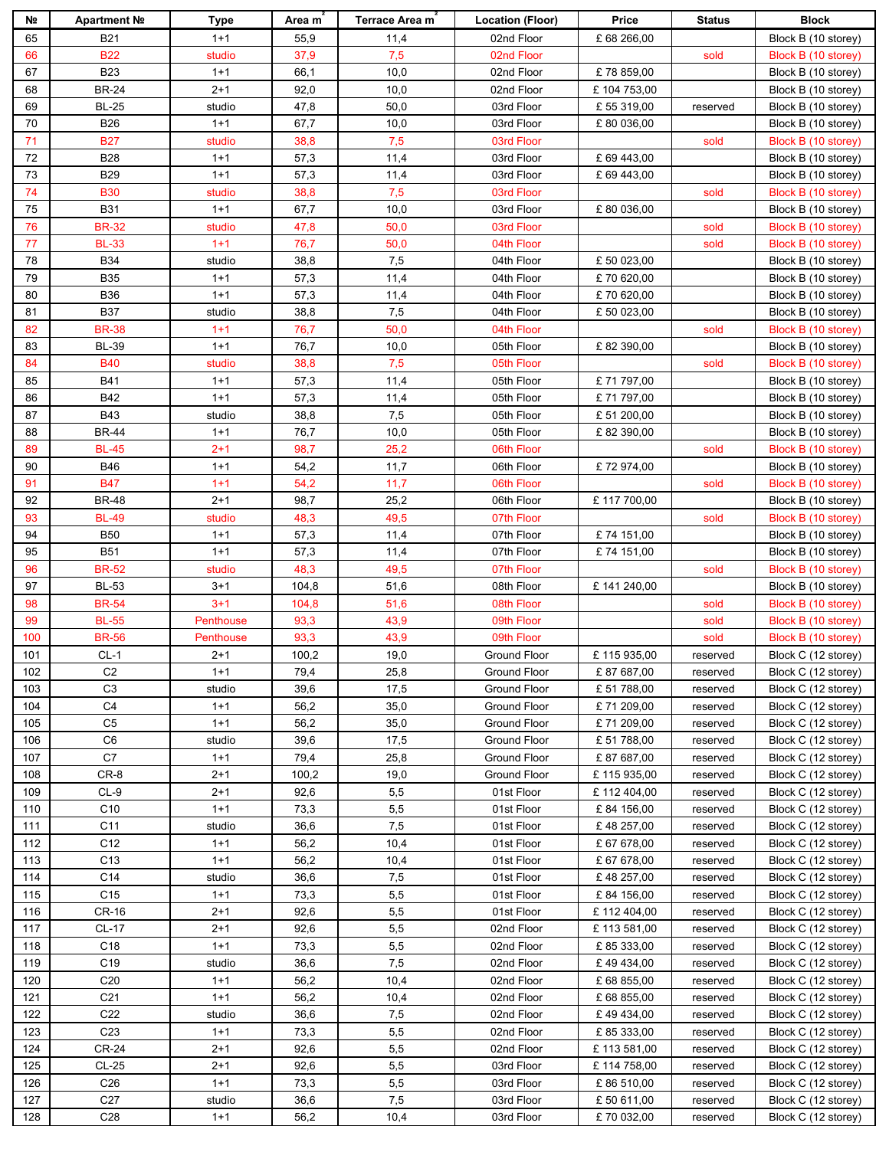| Nº. | Apartment Nº    | Type      | Area m | Terrace Area m | <b>Location (Floor)</b> | Price       | <b>Status</b> | <b>Block</b>        |
|-----|-----------------|-----------|--------|----------------|-------------------------|-------------|---------------|---------------------|
| 65  | <b>B21</b>      | $1 + 1$   | 55,9   | 11,4           | 02nd Floor              | £ 68 266,00 |               | Block B (10 storey) |
| 66  | <b>B22</b>      | studio    | 37,9   | 7,5            | 02nd Floor              |             | sold          | Block B (10 storey) |
| 67  | <b>B23</b>      | $1+1$     | 66,1   | 10,0           | 02nd Floor              | £78 859,00  |               | Block B (10 storey) |
| 68  | <b>BR-24</b>    | 2+1       | 92,0   | 10,0           | 02nd Floor              | £104 753,00 |               | Block B (10 storey) |
| 69  | <b>BL-25</b>    | studio    | 47,8   | 50,0           | 03rd Floor              | £ 55 319,00 | reserved      | Block B (10 storey) |
| 70  | <b>B26</b>      | $1 + 1$   | 67,7   | 10,0           | 03rd Floor              | £80 036,00  |               | Block B (10 storey) |
| 71  | <b>B27</b>      | studio    | 38,8   | 7,5            | 03rd Floor              |             | sold          | Block B (10 storey) |
| 72  | <b>B28</b>      | $1 + 1$   | 57,3   | 11,4           | 03rd Floor              | £ 69 443,00 |               | Block B (10 storey) |
| 73  | <b>B29</b>      | $1 + 1$   | 57,3   | 11,4           | 03rd Floor              | £ 69 443,00 |               | Block B (10 storey) |
| 74  | <b>B30</b>      |           | 38,8   | 7,5            |                         |             |               |                     |
|     |                 | studio    |        |                | 03rd Floor              |             | sold          | Block B (10 storey) |
| 75  | <b>B31</b>      | $1 + 1$   | 67,7   | 10,0           | 03rd Floor              | £80 036,00  |               | Block B (10 storey) |
| 76  | <b>BR-32</b>    | studio    | 47,8   | 50,0           | 03rd Floor              |             | sold          | Block B (10 storey) |
| 77  | <b>BL-33</b>    | $1+1$     | 76,7   | 50,0           | 04th Floor              |             | sold          | Block B (10 storey) |
| 78  | <b>B34</b>      | studio    | 38,8   | 7,5            | 04th Floor              | £ 50 023,00 |               | Block B (10 storey) |
| 79  | <b>B35</b>      | $1 + 1$   | 57,3   | 11,4           | 04th Floor              | £70 620,00  |               | Block B (10 storey) |
| 80  | <b>B36</b>      | $1 + 1$   | 57,3   | 11,4           | 04th Floor              | £70620,00   |               | Block B (10 storey) |
| 81  | <b>B37</b>      | studio    | 38,8   | 7,5            | 04th Floor              | £ 50 023,00 |               | Block B (10 storey) |
| 82  | <b>BR-38</b>    | $1 + 1$   | 76,7   | 50,0           | 04th Floor              |             | sold          | Block B (10 storey) |
| 83  | <b>BL-39</b>    | $1 + 1$   | 76,7   | 10,0           | 05th Floor              | £82 390,00  |               | Block B (10 storey) |
| 84  | <b>B40</b>      | studio    | 38,8   | 7,5            | 05th Floor              |             | sold          | Block B (10 storey) |
| 85  | <b>B41</b>      | $1 + 1$   | 57,3   | 11,4           | 05th Floor              | £71797,00   |               | Block B (10 storey) |
| 86  | <b>B42</b>      | $1 + 1$   | 57,3   | 11,4           | 05th Floor              | £71797,00   |               | Block B (10 storey) |
| 87  | <b>B43</b>      | studio    | 38,8   | 7,5            | 05th Floor              | £ 51 200,00 |               | Block B (10 storey) |
| 88  | <b>BR-44</b>    | $1 + 1$   | 76,7   | 10,0           | 05th Floor              | £82 390,00  |               | Block B (10 storey) |
| 89  | <b>BL-45</b>    | $2+1$     | 98,7   | 25,2           | 06th Floor              |             | sold          | Block B (10 storey) |
| 90  | <b>B46</b>      | $1 + 1$   | 54,2   | 11,7           | 06th Floor              | £72974,00   |               | Block B (10 storey) |
| 91  | <b>B47</b>      | $1 + 1$   | 54,2   | 11,7           | 06th Floor              |             | sold          | Block B (10 storey) |
| 92  | <b>BR-48</b>    | $2 + 1$   | 98,7   | 25,2           | 06th Floor              | £117700,00  |               | Block B (10 storey) |
| 93  | <b>BL-49</b>    | studio    | 48,3   | 49,5           | 07th Floor              |             | sold          | Block B (10 storey) |
| 94  | <b>B50</b>      | $1 + 1$   | 57,3   | 11,4           | 07th Floor              | £74 151,00  |               | Block B (10 storey) |
| 95  | <b>B51</b>      | $1 + 1$   | 57,3   | 11,4           | 07th Floor              | £74 151,00  |               | Block B (10 storey) |
| 96  | <b>BR-52</b>    | studio    | 48,3   | 49,5           | 07th Floor              |             | sold          | Block B (10 storey) |
| 97  | <b>BL-53</b>    | 3+1       | 104,8  | 51,6           | 08th Floor              | £141240,00  |               | Block B (10 storey) |
| 98  | <b>BR-54</b>    | $3 + 1$   | 104,8  | 51,6           | 08th Floor              |             | sold          | Block B (10 storey) |
| 99  | <b>BL-55</b>    | Penthouse | 93,3   | 43,9           | 09th Floor              |             | sold          | Block B (10 storey) |
| 100 | <b>BR-56</b>    | Penthouse | 93,3   | 43,9           | 09th Floor              |             | sold          | Block B (10 storey) |
| 101 | $CL-1$          | $2 + 1$   | 100,2  | 19,0           | Ground Floor            | £115935,00  | reserved      | Block C (12 storey) |
| 102 | C <sub>2</sub>  | $1 + 1$   | 79,4   | 25,8           | Ground Floor            | £87687,00   | reserved      | Block C (12 storey) |
| 103 | C <sub>3</sub>  | studio    | 39,6   | 17,5           | Ground Floor            | £ 51 788,00 | reserved      | Block C (12 storey) |
| 104 | C <sub>4</sub>  | $1 + 1$   | 56,2   | 35,0           | Ground Floor            | £71 209,00  | reserved      | Block C (12 storey) |
| 105 | C <sub>5</sub>  | $1 + 1$   | 56,2   | 35,0           | Ground Floor            | £71 209,00  | reserved      | Block C (12 storey) |
| 106 | C <sub>6</sub>  |           | 39,6   | 17,5           | Ground Floor            | £ 51 788,00 |               | Block C (12 storey) |
|     |                 | studio    |        |                |                         |             | reserved      |                     |
| 107 | C7              | $1+1$     | 79,4   | 25,8           | Ground Floor            | £87687,00   | reserved      | Block C (12 storey) |
| 108 | CR-8            | $2+1$     | 100,2  | 19,0           | Ground Floor            | £115935,00  | reserved      | Block C (12 storey) |
| 109 | $CL-9$          | $2+1$     | 92,6   | 5,5            | 01st Floor              | £112404,00  | reserved      | Block C (12 storey) |
| 110 | C <sub>10</sub> | $1 + 1$   | 73,3   | 5,5            | 01st Floor              | £84 156,00  | reserved      | Block C (12 storey) |
| 111 | C11             | studio    | 36,6   | 7,5            | 01st Floor              | £48 257,00  | reserved      | Block C (12 storey) |
| 112 | C <sub>12</sub> | $1 + 1$   | 56,2   | 10,4           | 01st Floor              | £ 67 678,00 | reserved      | Block C (12 storey) |
| 113 | C <sub>13</sub> | $1 + 1$   | 56,2   | 10,4           | 01st Floor              | £ 67 678,00 | reserved      | Block C (12 storey) |
| 114 | C14             | studio    | 36,6   | 7,5            | 01st Floor              | £48 257,00  | reserved      | Block C (12 storey) |
| 115 | C <sub>15</sub> | $1 + 1$   | 73,3   | 5,5            | 01st Floor              | £84 156,00  | reserved      | Block C (12 storey) |
| 116 | CR-16           | $2 + 1$   | 92,6   | 5,5            | 01st Floor              | £112404,00  | reserved      | Block C (12 storey) |
| 117 | CL-17           | $2 + 1$   | 92,6   | 5,5            | 02nd Floor              | £113581,00  | reserved      | Block C (12 storey) |
| 118 | C18             | $1+1$     | 73,3   | 5,5            | 02nd Floor              | £85 333,00  | reserved      | Block C (12 storey) |
| 119 | C <sub>19</sub> | studio    | 36,6   | 7,5            | 02nd Floor              | £49434,00   | reserved      | Block C (12 storey) |
| 120 | C <sub>20</sub> | $1 + 1$   | 56,2   | 10,4           | 02nd Floor              | £ 68 855,00 | reserved      | Block C (12 storey) |
| 121 | C <sub>21</sub> | $1 + 1$   | 56,2   | 10,4           | 02nd Floor              | £ 68 855,00 | reserved      | Block C (12 storey) |
| 122 | C <sub>22</sub> | studio    | 36,6   | 7,5            | 02nd Floor              | £49434,00   | reserved      | Block C (12 storey) |
| 123 | C <sub>23</sub> | $1 + 1$   | 73,3   | 5,5            | 02nd Floor              | £ 85 333,00 | reserved      | Block C (12 storey) |
| 124 | <b>CR-24</b>    | $2 + 1$   | 92,6   | 5,5            | 02nd Floor              | £113581,00  | reserved      | Block C (12 storey) |
| 125 | $CL-25$         | $2 + 1$   | 92,6   | 5,5            | 03rd Floor              | £114758,00  | reserved      | Block C (12 storey) |
| 126 | C <sub>26</sub> | $1 + 1$   | 73,3   | 5,5            | 03rd Floor              | £86 510,00  | reserved      | Block C (12 storey) |
| 127 | C <sub>27</sub> | studio    | 36,6   | 7,5            | 03rd Floor              | £50611,00   | reserved      | Block C (12 storey) |
| 128 | C <sub>28</sub> | $1 + 1$   | 56,2   | 10,4           | 03rd Floor              | £70 032,00  | reserved      | Block C (12 storey) |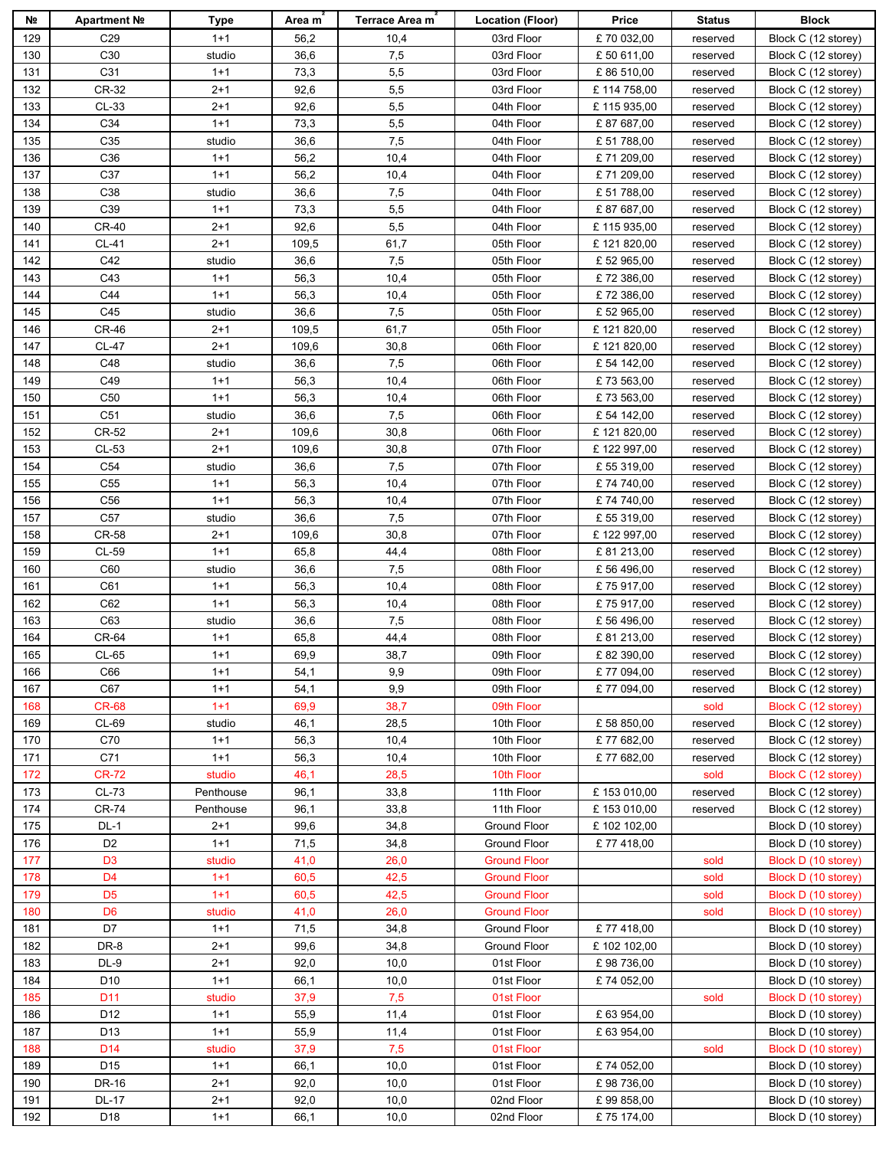| Nº         | Apartment Nº    | Type              | Area m       | <b>Terrace Area m</b> | <b>Location (Floor)</b>  | Price                     | <b>Status</b>        | <b>Block</b>                               |
|------------|-----------------|-------------------|--------------|-----------------------|--------------------------|---------------------------|----------------------|--------------------------------------------|
| 129        | C <sub>29</sub> | $1 + 1$           | 56,2         | 10,4                  | 03rd Floor               | £70 032,00                | reserved             | Block C (12 storey)                        |
| 130        | C <sub>30</sub> | studio            | 36,6         | 7,5                   | 03rd Floor               | £ 50 611,00               | reserved             | Block C (12 storey)                        |
| 131        | C31             | $1 + 1$           | 73,3         | 5,5                   | 03rd Floor               | £86 510,00                | reserved             | Block C (12 storey)                        |
| 132        | CR-32           | 2+1               | 92,6         | 5,5                   | 03rd Floor               | £114758,00                | reserved             | Block C (12 storey)                        |
| 133        | $CL-33$         | $2 + 1$           | 92,6         | 5,5                   | 04th Floor               | £115935,00                | reserved             | Block C (12 storey)                        |
| 134        | C34             | $1 + 1$           | 73,3         | 5,5                   | 04th Floor               | £87687,00                 | reserved             | Block C (12 storey)                        |
| 135        | C <sub>35</sub> | studio            | 36,6         | 7,5                   | 04th Floor               | £ 51 788,00               | reserved             | Block C (12 storey)                        |
| 136        | C36             | $1 + 1$           | 56,2         | 10,4                  | 04th Floor               | £71 209,00                | reserved             | Block C (12 storey)                        |
| 137        | C37             | $1 + 1$           | 56,2         | 10,4                  | 04th Floor               | £71 209,00                | reserved             | Block C (12 storey)                        |
| 138        | C38             | studio            | 36,6         | 7,5                   | 04th Floor               | £ 51 788,00               | reserved             | Block C (12 storey)                        |
| 139        | C39             | $1 + 1$           | 73,3         | 5,5                   | 04th Floor               | £87687,00                 | reserved             | Block C (12 storey)                        |
| 140        | <b>CR-40</b>    | $2 + 1$           | 92,6         | 5,5                   | 04th Floor               | £115935,00                | reserved             | Block C (12 storey)                        |
| 141        | CL-41           | $2 + 1$           | 109,5        | 61,7                  | 05th Floor               | £121820,00                | reserved             | Block C (12 storey)                        |
| 142        | C42             | studio            | 36,6         | 7,5                   | 05th Floor               | £ 52 965,00               | reserved             | Block C (12 storey)                        |
| 143        | C43             | $1 + 1$           | 56,3         | 10,4                  | 05th Floor               | £72 386,00                | reserved             | Block C (12 storey)                        |
| 144        | C44             | $1 + 1$           | 56,3         | 10,4                  | 05th Floor               | £72 386,00                | reserved             | Block C (12 storey)                        |
| 145        | C45             | studio            | 36,6         | 7,5                   | 05th Floor               | £ 52 965,00               | reserved             | Block C (12 storey)                        |
| 146        | <b>CR-46</b>    | $2 + 1$           | 109,5        | 61,7                  | 05th Floor               | £121820,00                | reserved             | Block C (12 storey)                        |
| 147        | <b>CL-47</b>    | 2+1               | 109,6        | 30,8                  | 06th Floor               | £121820,00                | reserved             | Block C (12 storey)                        |
| 148        | C48             | studio            | 36,6         | 7,5                   | 06th Floor               | £ 54 142,00               | reserved             | Block C (12 storey)                        |
| 149        | C49             | $1 + 1$           | 56,3         | 10,4                  | 06th Floor               | £73 563,00                | reserved             | Block C (12 storey)                        |
| 150        | C <sub>50</sub> | $1 + 1$           | 56,3         | 10,4                  | 06th Floor               | £73 563,00                | reserved             | Block C (12 storey)                        |
| 151        | C51             | studio            | 36,6         | 7,5                   | 06th Floor               | £ 54 142,00               | reserved             | Block C (12 storey)                        |
| 152        | CR-52           | $2 + 1$           | 109,6        | 30,8                  | 06th Floor               | £121820,00                | reserved             | Block C (12 storey)                        |
| 153        | $CL-53$         | $2 + 1$           | 109,6        | 30,8                  | 07th Floor               | £122 997,00               | reserved             | Block C (12 storey)                        |
| 154        | C54             | studio            | 36,6         | 7,5                   | 07th Floor               | £ 55 319,00               | reserved             | Block C (12 storey)                        |
| 155        | C <sub>55</sub> | $1 + 1$           | 56,3         | 10,4                  | 07th Floor               | £74 740,00                | reserved             | Block C (12 storey)                        |
| 156<br>157 | C56<br>C57      | $1 + 1$           | 56,3<br>36,6 | 10,4<br>7,5           | 07th Floor               | £74 740,00                | reserved             | Block C (12 storey)                        |
| 158        | CR-58           | studio<br>$2 + 1$ | 109,6        | 30,8                  | 07th Floor               | £ 55 319,00               | reserved             | Block C (12 storey)                        |
| 159        | <b>CL-59</b>    | $1 + 1$           | 65,8         | 44,4                  | 07th Floor<br>08th Floor | £122 997,00<br>£81 213,00 | reserved             | Block C (12 storey)                        |
| 160        | C60             | studio            | 36,6         | 7,5                   | 08th Floor               | £ 56 496,00               | reserved<br>reserved | Block C (12 storey)<br>Block C (12 storey) |
| 161        | C61             | $1 + 1$           | 56,3         | 10,4                  | 08th Floor               | £75917,00                 | reserved             | Block C (12 storey)                        |
| 162        | C62             | $1+1$             | 56,3         | 10,4                  | 08th Floor               | £75917,00                 | reserved             | Block C (12 storey)                        |
| 163        | C63             | studio            | 36,6         | 7,5                   | 08th Floor               | £ 56 496,00               | reserved             | Block C (12 storey)                        |
| 164        | CR-64           | $1 + 1$           | 65,8         | 44,4                  | 08th Floor               | £81 213,00                | reserved             | Block C (12 storey)                        |
| 165        | CL-65           | $1 + 1$           | 69,9         | 38,7                  | 09th Floor               | £82 390,00                | reserved             | Block C (12 storey)                        |
| 166        | C66             | $1 + 1$           | 54,1         | 9,9                   | 09th Floor               | £77 094,00                | reserved             | Block C (12 storey)                        |
| 167        | C67             | $1 + 1$           | 54,1         | 9,9                   | 09th Floor               | £77 094,00                | reserved             | Block C (12 storey)                        |
| 168        | <b>CR-68</b>    | $1 + 1$           | 69,9         | 38,7                  | 09th Floor               |                           | sold                 | Block C (12 storey)                        |
| 169        | CL-69           | studio            | 46,1         | 28,5                  | 10th Floor               | £ 58 850,00               | reserved             | Block C (12 storey)                        |
| 170        | C70             | $1 + 1$           | 56,3         | 10,4                  | 10th Floor               | £77 682,00                | reserved             | Block C (12 storey)                        |
| 171        | C71             | $1 + 1$           | 56,3         | 10,4                  | 10th Floor               | £77 682,00                | reserved             | Block C (12 storey)                        |
| 172        | <b>CR-72</b>    | studio            | 46,1         | 28,5                  | 10th Floor               |                           | sold                 | Block C (12 storey)                        |
| 173        | CL-73           | Penthouse         | 96,1         | 33,8                  | 11th Floor               | £153010,00                | reserved             | Block C (12 storey)                        |
| 174        | <b>CR-74</b>    | Penthouse         | 96,1         | 33,8                  | 11th Floor               | £153010,00                | reserved             | Block C (12 storey)                        |
| 175        | $DL-1$          | $2 + 1$           | 99,6         | 34,8                  | Ground Floor             | £102 102,00               |                      | Block D (10 storey)                        |
| 176        | D <sub>2</sub>  | $1 + 1$           | 71,5         | 34,8                  | Ground Floor             | £77418,00                 |                      | Block D (10 storey)                        |
| 177        | D <sub>3</sub>  | studio            | 41,0         | 26,0                  | <b>Ground Floor</b>      |                           | sold                 | Block D (10 storey)                        |
| 178        | D <sub>4</sub>  | $1 + 1$           | 60,5         | 42,5                  | <b>Ground Floor</b>      |                           | sold                 | Block D (10 storey)                        |
| 179        | D <sub>5</sub>  | $1+1$             | 60,5         | 42,5                  | <b>Ground Floor</b>      |                           | sold                 | Block D (10 storey)                        |
| 180        | D <sub>6</sub>  | studio            | 41,0         | 26,0                  | <b>Ground Floor</b>      |                           | sold                 | Block D (10 storey)                        |
| 181        | D7              | $1 + 1$           | 71,5         | 34,8                  | Ground Floor             | £77418,00                 |                      | Block D (10 storey)                        |
| 182        | DR-8            | $2 + 1$           | 99,6         | 34,8                  | Ground Floor             | £102 102,00               |                      | Block D (10 storey)                        |
| 183        | DL-9            | $2 + 1$           | 92,0         | 10,0                  | 01st Floor               | £98736,00                 |                      | Block D (10 storey)                        |
| 184        | D <sub>10</sub> | $1 + 1$           | 66,1         | 10,0                  | 01st Floor               | £74 052,00                |                      | Block D (10 storey)                        |
| 185        | D <sub>11</sub> | studio            | 37,9         | 7,5                   | 01st Floor               |                           | sold                 | Block D (10 storey)                        |
| 186        | D12             | $1 + 1$           | 55,9         | 11,4                  | 01st Floor               | £ 63 954,00               |                      | Block D (10 storey)                        |
| 187        | D <sub>13</sub> | $1 + 1$           | 55,9         | 11,4                  | 01st Floor               | £ 63 954,00               |                      | Block D (10 storey)                        |
| 188        | D <sub>14</sub> | studio            | 37,9         | 7,5                   | 01st Floor               |                           | sold                 | Block D (10 storey)                        |
| 189        | D <sub>15</sub> | $1 + 1$           | 66,1         | 10,0                  | 01st Floor               | £74 052,00                |                      | Block D (10 storey)                        |
| 190        | DR-16           | $2 + 1$           | 92,0         | 10,0                  | 01st Floor               | £98736,00                 |                      | Block D (10 storey)                        |
| 191        | <b>DL-17</b>    | $2 + 1$           | 92,0         | 10,0                  | 02nd Floor               | £99858,00                 |                      | Block D (10 storey)                        |
| 192        | D18             | $1 + 1$           | 66,1         | 10,0                  | 02nd Floor               | £75 174,00                |                      | Block D (10 storey)                        |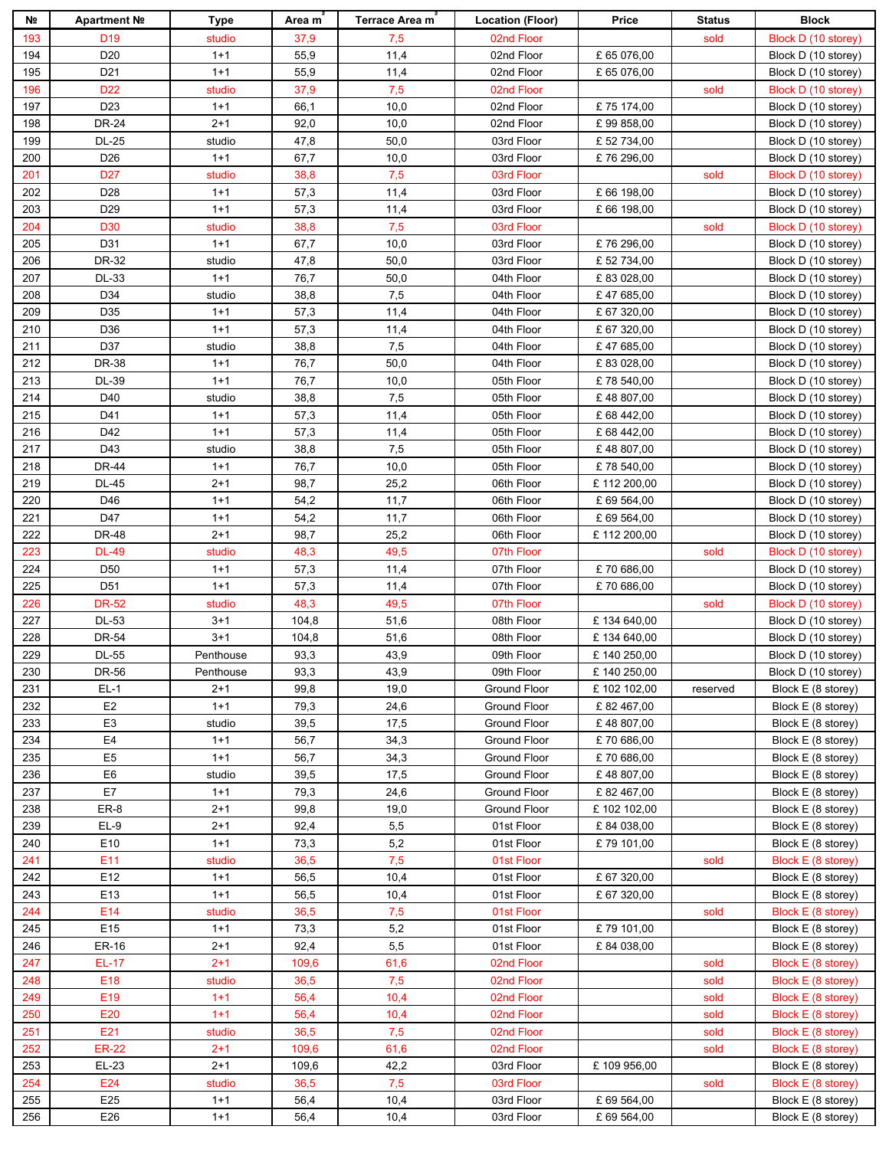| Nº. | Apartment Nº    | Type      | Area m | <b>Terrace Area m</b> | <b>Location (Floor)</b> | Price       | <b>Status</b> | <b>Block</b>        |
|-----|-----------------|-----------|--------|-----------------------|-------------------------|-------------|---------------|---------------------|
| 193 | D <sub>19</sub> | studio    | 37,9   | 7,5                   | 02nd Floor              |             | sold          | Block D (10 storey) |
| 194 | D <sub>20</sub> | $1 + 1$   | 55,9   | 11,4                  | 02nd Floor              | £ 65 076,00 |               | Block D (10 storey) |
| 195 | D <sub>21</sub> | $1 + 1$   | 55,9   | 11,4                  | 02nd Floor              | £ 65 076,00 |               | Block D (10 storey) |
| 196 | D <sub>22</sub> | studio    | 37,9   | 7,5                   | 02nd Floor              |             | sold          | Block D (10 storey) |
| 197 | D <sub>23</sub> | $1 + 1$   | 66,1   | 10,0                  | 02nd Floor              | £75 174,00  |               | Block D (10 storey) |
| 198 | <b>DR-24</b>    | $2 + 1$   | 92,0   | 10,0                  | 02nd Floor              | £99858,00   |               | Block D (10 storey) |
| 199 | <b>DL-25</b>    | studio    | 47,8   | 50,0                  | 03rd Floor              | £ 52 734,00 |               | Block D (10 storey) |
| 200 | D <sub>26</sub> | $1 + 1$   | 67,7   | 10,0                  | 03rd Floor              | £76 296,00  |               | Block D (10 storey) |
| 201 | D <sub>27</sub> | studio    | 38,8   | 7,5                   | 03rd Floor              |             | sold          | Block D (10 storey) |
| 202 | D <sub>28</sub> | $1 + 1$   | 57,3   | 11,4                  | 03rd Floor              | £ 66 198,00 |               | Block D (10 storey) |
| 203 | D <sub>29</sub> | $1 + 1$   | 57,3   | 11,4                  | 03rd Floor              | £ 66 198,00 |               | Block D (10 storey) |
| 204 | D <sub>30</sub> | studio    | 38,8   | 7,5                   | 03rd Floor              |             | sold          | Block D (10 storey) |
| 205 | D31             | $1 + 1$   | 67,7   | 10,0                  | 03rd Floor              | £76 296,00  |               | Block D (10 storey) |
| 206 | DR-32           | studio    | 47,8   | 50,0                  | 03rd Floor              | £ 52 734,00 |               | Block D (10 storey) |
| 207 | DL-33           | $1 + 1$   | 76,7   | 50,0                  | 04th Floor              | £83 028,00  |               | Block D (10 storey) |
| 208 | D34             | studio    | 38,8   | 7,5                   | 04th Floor              | £47685,00   |               | Block D (10 storey) |
| 209 | D35             | $1 + 1$   | 57,3   | 11,4                  | 04th Floor              | £ 67 320,00 |               | Block D (10 storey) |
| 210 | D36             | $1 + 1$   | 57,3   | 11,4                  | 04th Floor              | £ 67 320,00 |               | Block D (10 storey) |
| 211 | D37             | studio    | 38,8   | 7,5                   | 04th Floor              | £47685,00   |               | Block D (10 storey) |
| 212 | DR-38           | $1 + 1$   | 76,7   | 50,0                  | 04th Floor              | £83 028,00  |               | Block D (10 storey) |
| 213 | DL-39           | $1 + 1$   | 76,7   | 10,0                  | 05th Floor              | £78 540,00  |               |                     |
|     |                 |           |        |                       |                         |             |               | Block D (10 storey) |
| 214 | D40             | studio    | 38,8   | $\bf 7{,}5$           | 05th Floor              | £48 807,00  |               | Block D (10 storey) |
| 215 | D41             | $1 + 1$   | 57,3   | 11,4                  | 05th Floor              | £ 68 442,00 |               | Block D (10 storey) |
| 216 | D42             | $1 + 1$   | 57,3   | 11,4                  | 05th Floor              | £ 68 442,00 |               | Block D (10 storey) |
| 217 | D43             | studio    | 38,8   | 7,5                   | 05th Floor              | £48 807,00  |               | Block D (10 storey) |
| 218 | <b>DR-44</b>    | $1 + 1$   | 76,7   | 10,0                  | 05th Floor              | £78 540,00  |               | Block D (10 storey) |
| 219 | <b>DL-45</b>    | $2 + 1$   | 98,7   | 25,2                  | 06th Floor              | £112 200,00 |               | Block D (10 storey) |
| 220 | D46             | $1 + 1$   | 54,2   | 11,7                  | 06th Floor              | £ 69 564,00 |               | Block D (10 storey) |
| 221 | D47             | $1 + 1$   | 54,2   | 11,7                  | 06th Floor              | £ 69 564,00 |               | Block D (10 storey) |
| 222 | <b>DR-48</b>    | $2 + 1$   | 98,7   | 25,2                  | 06th Floor              | £112 200,00 |               | Block D (10 storey) |
| 223 | <b>DL-49</b>    | studio    | 48,3   | 49,5                  | 07th Floor              |             | sold          | Block D (10 storey) |
| 224 | D <sub>50</sub> | $1 + 1$   | 57,3   | 11,4                  | 07th Floor              | £70 686,00  |               | Block D (10 storey) |
| 225 | D <sub>51</sub> | $1 + 1$   | 57,3   | 11,4                  | 07th Floor              | £70 686,00  |               | Block D (10 storey) |
| 226 | <b>DR-52</b>    | studio    | 48,3   | 49,5                  | 07th Floor              |             | sold          | Block D (10 storey) |
| 227 | DL-53           | $3 + 1$   | 104,8  | 51,6                  | 08th Floor              | £134 640,00 |               | Block D (10 storey) |
| 228 | <b>DR-54</b>    | $3 + 1$   | 104,8  | 51,6                  | 08th Floor              | £134 640,00 |               | Block D (10 storey) |
| 229 | <b>DL-55</b>    | Penthouse | 93,3   | 43,9                  | 09th Floor              | £140 250,00 |               | Block D (10 storey) |
| 230 | DR-56           | Penthouse | 93,3   | 43,9                  | 09th Floor              | £140 250,00 |               | Block D (10 storey) |
| 231 | $EL-1$          | $2 + 1$   | 99,8   | 19,0                  | Ground Floor            | £102 102,00 | reserved      | Block E (8 storey)  |
| 232 | E <sub>2</sub>  | $1 + 1$   | 79,3   | 24,6                  | Ground Floor            | £82467,00   |               | Block E (8 storey)  |
| 233 | E <sub>3</sub>  | studio    | 39,5   | 17,5                  | Ground Floor            | £48 807,00  |               | Block E (8 storey)  |
| 234 | E <sub>4</sub>  | $1 + 1$   | 56,7   | 34,3                  | Ground Floor            | £70 686,00  |               | Block E (8 storey)  |
| 235 | E <sub>5</sub>  | $1 + 1$   | 56,7   | 34,3                  | Ground Floor            | £70 686,00  |               | Block E (8 storey)  |
| 236 | E <sub>6</sub>  | studio    | 39,5   | 17,5                  | Ground Floor            | £48807,00   |               | Block E (8 storey)  |
| 237 | E7              | $1+1$     | 79,3   | 24,6                  | Ground Floor            | £82467,00   |               | Block E (8 storey)  |
| 238 | ER-8            | $2+1$     | 99,8   | 19,0                  | Ground Floor            | £102 102,00 |               | Block E (8 storey)  |
| 239 | $EL-9$          | $2+1$     | 92,4   | 5,5                   | 01st Floor              | £84 038,00  |               | Block E (8 storey)  |
| 240 | E10             | $1 + 1$   | 73,3   | 5,2                   | 01st Floor              | £79 101,00  |               | Block E (8 storey)  |
| 241 | E11             | studio    | 36,5   | 7,5                   | 01st Floor              |             | sold          | Block E (8 storey)  |
| 242 | E12             | $1 + 1$   | 56,5   | 10,4                  | 01st Floor              | £ 67 320,00 |               | Block E (8 storey)  |
| 243 | E13             | $1 + 1$   | 56,5   | 10,4                  | 01st Floor              | £ 67 320,00 |               | Block E (8 storey)  |
| 244 | E14             | studio    | 36,5   | 7,5                   | 01st Floor              |             | sold          | Block E (8 storey)  |
| 245 | E <sub>15</sub> | $1 + 1$   | 73,3   | 5,2                   | 01st Floor              | £79 101,00  |               | Block E (8 storey)  |
| 246 | ER-16           | $2+1$     | 92,4   | 5,5                   | 01st Floor              | £84 038,00  |               | Block E (8 storey)  |
| 247 | <b>EL-17</b>    | $2 + 1$   | 109,6  | 61,6                  | 02nd Floor              |             | sold          | Block E (8 storey)  |
| 248 | E <sub>18</sub> | studio    | 36,5   | 7,5                   | 02nd Floor              |             | sold          | Block E (8 storey)  |
| 249 | E <sub>19</sub> | $1+1$     | 56,4   | 10,4                  | 02nd Floor              |             | sold          | Block E (8 storey)  |
| 250 | E20             | $1 + 1$   | 56,4   | 10,4                  | 02nd Floor              |             | sold          | Block E (8 storey)  |
| 251 | E21             | studio    | 36,5   | 7,5                   | 02nd Floor              |             | sold          | Block E (8 storey)  |
| 252 | <b>ER-22</b>    | $2 + 1$   | 109,6  | 61,6                  | 02nd Floor              |             | sold          | Block E (8 storey)  |
| 253 | EL-23           | $2 + 1$   | 109,6  | 42,2                  | 03rd Floor              | £109 956,00 |               | Block E (8 storey)  |
| 254 | E24             | studio    | 36,5   | 7,5                   | 03rd Floor              |             | sold          | Block E (8 storey)  |
| 255 | E25             | $1 + 1$   | 56,4   | 10,4                  | 03rd Floor              | £ 69 564,00 |               | Block E (8 storey)  |
| 256 | E26             | $1 + 1$   | 56,4   | 10,4                  | 03rd Floor              | £ 69 564,00 |               | Block E (8 storey)  |